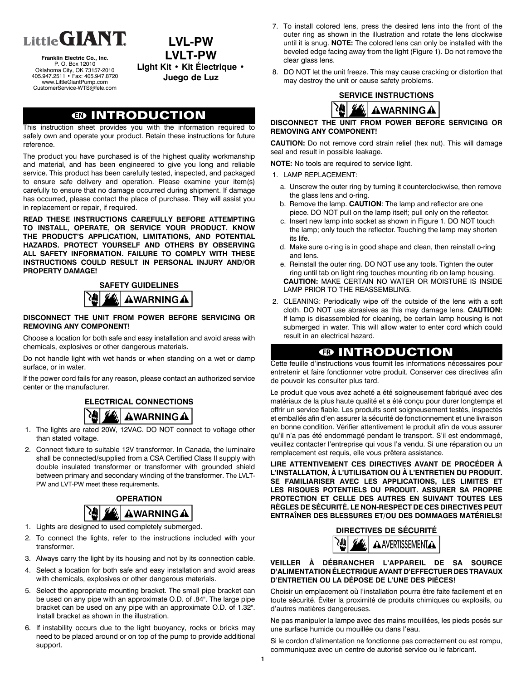

**Franklin Electric Co., Inc.** P. O. Box 12010 Oklahoma City, OK 73157-2010 405.947.2511 • Fax: 405.947.8720 www.LittleGiantPump.com CustomerService-WTS@fele.com

**LVL-PW LVLT-PW Light Kit • Kit Électrique • Juego de Luz**

# **EN INTRODUCTION**

This instruction sheet provides you with the information required to safely own and operate your product. Retain these instructions for future reference.

The product you have purchased is of the highest quality workmanship and material, and has been engineered to give you long and reliable service. This product has been carefully tested, inspected, and packaged to ensure safe delivery and operation. Please examine your item(s) carefully to ensure that no damage occurred during shipment. If damage has occurred, please contact the place of purchase. They will assist you in replacement or repair, if required.

**READ THESE INSTRUCTIONS CAREFULLY BEFORE ATTEMPTING TO INSTALL, OPERATE, OR SERVICE YOUR PRODUCT. KNOW THE PRODUCT'S APPLICATION, LIMITATIONS, AND POTENTIAL HAZARDS. PROTECT YOURSELF AND OTHERS BY OBSERVING ALL SAFETY INFORMATION. FAILURE TO COMPLY WITH THESE INSTRUCTIONS COULD RESULT IN PERSONAL INJURY AND/OR PROPERTY DAMAGE!**

# **SAFETY GUIDELINES** AWARNINGA

#### **DISCONNECT THE UNIT FROM POWER BEFORE SERVICING OR REMOVING ANY COMPONENT!**

Choose a location for both safe and easy installation and avoid areas with chemicals, explosives or other dangerous materials.

Do not handle light with wet hands or when standing on a wet or damp surface, or in water.

If the power cord fails for any reason, please contact an authorized service center or the manufacturer.

## **ELECTRICAL CONNECTIONS**



- 1. The lights are rated 20W, 12VAC. DO NOT connect to voltage other than stated voltage.
- 2. Connect fixture to suitable 12V transformer. In Canada, the luminaire shall be connected/supplied from a CSA Certified Class II supply with double insulated transformer or transformer with grounded shield between primary and secondary winding of the transformer. The LVLT-PW and LVT-PW meet these requirements.



- 1. Lights are designed to used completely submerged.
- 2. To connect the lights, refer to the instructions included with your transformer.
- 3. Always carry the light by its housing and not by its connection cable.
- 4. Select a location for both safe and easy installation and avoid areas with chemicals, explosives or other dangerous materials.
- 5. Select the appropriate mounting bracket. The small pipe bracket can be used on any pipe with an approximate O.D. of .84". The large pipe bracket can be used on any pipe with an approximate O.D. of 1.32". Install bracket as shown in the illustration.
- 6. If instability occurs due to the light buoyancy, rocks or bricks may need to be placed around or on top of the pump to provide additional support.
- 7. To install colored lens, press the desired lens into the front of the outer ring as shown in the illustration and rotate the lens clockwise until it is snug. **NOTE:** The colored lens can only be installed with the beveled edge facing away from the light (Figure 1). Do not remove the clear glass lens.
- 8. DO NOT let the unit freeze. This may cause cracking or distortion that may destroy the unit or cause safety problems.





**DISCONNECT THE UNIT FROM POWER BEFORE SERVICING OR REMOVING ANY COMPONENT!**

**CAUTION:** Do not remove cord strain relief (hex nut). This will damage seal and result in possible leakage.

**NOTE:** No tools are required to service light.

- 1. LAMP REPLACEMENT:
	- a. Unscrew the outer ring by turning it counterclockwise, then remove the glass lens and o-ring.
	- b. Remove the lamp. **CAUTION**: The lamp and reflector are one piece. DO NOT pull on the lamp itself; pull only on the reflector.
	- c. Insert new lamp into socket as shown in Figure 1. DO NOT touch the lamp; only touch the reflector. Touching the lamp may shorten its life.
	- d. Make sure o-ring is in good shape and clean, then reinstall o-ring and lens.
	- e. Reinstall the outer ring. DO NOT use any tools. Tighten the outer ring until tab on light ring touches mounting rib on lamp housing. **CAUTION:** MAKE CERTAIN NO WATER OR MOISTURE IS INSIDE LAMP PRIOR TO THE REASSEMBLING.
- 2. CLEANING: Periodically wipe off the outside of the lens with a soft cloth. DO NOT use abrasives as this may damage lens. **CAUTION:** If lamp is disassembled for cleaning, be certain lamp housing is not submerged in water. This will allow water to enter cord which could result in an electrical hazard.

## **FR INTRODUCTION**

Cette feuille d'instructions vous fournit les informations nécessaires pour entretenir et faire fonctionner votre produit. Conserver ces directives afin de pouvoir les consulter plus tard.

Le produit que vous avez acheté a été soigneusement fabriqué avec des matériaux de la plus haute qualité et a été conçu pour durer longtemps et offrir un service fiable. Les produits sont soigneusement testés, inspectés et emballés afin d'en assurer la sécurité de fonctionnement et une livraison en bonne condition. Vérifier attentivement le produit afin de vous assurer qu'il n'a pas été endommagé pendant le transport. S'il est endommagé, veuillez contacter l'entreprise qui vous l'a vendu. Si une réparation ou un remplacement est requis, elle vous prêtera assistance.

**LIRE ATTENTIVEMENT CES DIRECTIVES AVANT DE PROCÉDER À L'INSTALLATION, À L'UTILISATION OU À L'ENTRETIEN DU PRODUIT. SE FAMILIARISER AVEC LES APPLICATIONS, LES LIMITES ET LES RISQUES POTENTIELS DU PRODUIT. ASSURER SA PROPRE PROTECTION ET CELLE DES AUTRES EN SUIVANT TOUTES LES RÈGLES DE SÉCURITÉ. LE NON-RESPECT DE CES DIRECTIVES PEUT ENTRAÎNER DES BLESSURES ET/OU DES DOMMAGES MATÉRIELS!**



### **VEILLER À DÉBRANCHER L'APPAREIL DE SA SOURCE D'ALIMENTATION ÉLECTRIQUE AVANT D'EFFECTUER DES TRAVAUX D'ENTRETIEN OU LA DÉPOSE DE L'UNE DES PlÈCES!**

Choisir un emplacement où l'installation pourra être faite facilement et en toute sécurité. Éviter la proximité de produits chimiques ou explosifs, ou d'autres matières dangereuses.

Ne pas manipuler la lampe avec des mains mouillées, les pieds posés sur une surface humide ou mouillée ou dans l'eau.

Si le cordon d'alimentation ne fonctionne pas correctement ou est rompu, communiquez avec un centre de autorisé service ou le fabricant.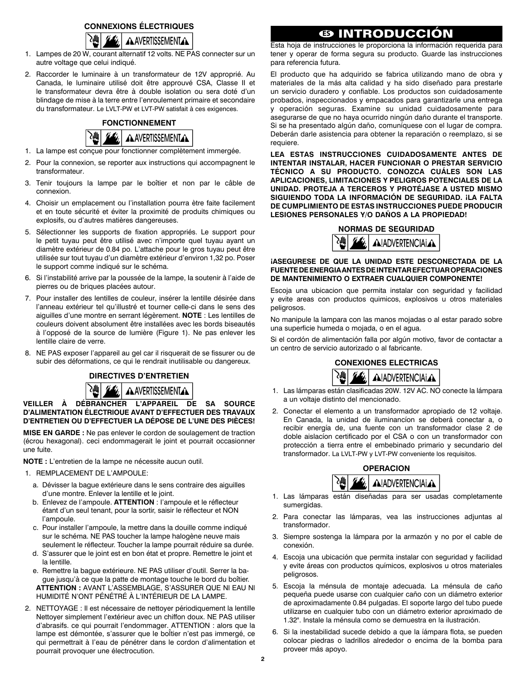### **CONNEXIONS ÉLECTRIQUES**



- 1. Lampes de 20 W, courant alternatif 12 volts. NE PAS connecter sur un autre voltage que celui indiqué.
- 2. Raccorder le luminaire à un transformateur de 12V approprié. Au Canada, le luminaire utilisé doit être approuvé CSA, Classe II et le transformateur devra être à double isolation ou sera doté d'un blindage de mise à la terre entre l'enroulement primaire et secondaire du transformateur. Le LVLT-PW et LVT-PW satisfait à ces exigences.



- 1. La lampe est conçue pour fonctionner complètement immergée.
- 2. Pour la connexion, se reporter aux instructions qui accompagnent le transformateur.
- 3. Tenir toujours la lampe par le boîtier et non par le câble de connexion.
- 4. Choisir un emplacement ou l'installation pourra ètre faite facilement et en toute sécurité et éviter la proximité de produits chimiques ou explosifs, ou d'autres matières dangereuses.
- 5. Sélectionner les supports de fixation appropriés. Le support pour le petit tuyau peut être utilisé avec n'importe quel tuyau ayant un diamètre extérieur de 0.84 po. L'attache pour le gros tuyau peut être utilisée sur tout tuyau d'un diamètre extérieur d'environ 1,32 po. Poser le support comme indiqué sur le schéma.
- 6. Si l'instabilité arrive par la poussée de la lampe, Ia soutenir à l'aide de pierres ou de briques placées autour.
- 7. Pour installer des lentilles de couleur, insérer la lentille désirée dans l'anneau extérieur tel qu'illustré et tourner celle-ci dans le sens des aiguilles d'une montre en serrant légèrement. **NOTE** : Les lentilles de couleurs doivent absolument être installées avec les bords biseautés à l'opposé de la source de lumière (Figure 1). Ne pas enlever les lentille claire de verre.
- 8. NE PAS exposer l'appareil au gel car il risquerait de se fissurer ou de subir des déformations, ce qui le rendrait inutilisable ou dangereux.

**DIRECTIVES D'ENTRETIEN**



**VEILLER À DÉBRANCHER L'APPAREIL DE SA SOURCE D'ALIMENTATION ÉLECTRlOUE AVANT D'EFFECTUER DES TRAVAUX D'ENTRETIEN OU D'EFFECTUER LA DÉPOSE DE L'UNE DES PlÈCES!**

**MISE EN GARDE :** Ne pas enlever le cordon de soulagement de traction (écrou hexagonal). ceci endommagerait le joint et pourrait occasionner une fuite.

**NOTE :** L'entretien de la lampe ne nécessite aucun outil.

- 1. REMPLACEMENT DE L'AMPOULE:
	- a. Dévisser la bague extérieure dans le sens contraire des aiguilles d'une montre. Enlever la lentille et le joint.
	- b. Enlevez de l'ampoule. **ATTENTION** : I'ampoule et le réflecteur étant d'un seul tenant, pour la sortir, saisir le réflecteur et NON l'ampoule.
	- c. Pour installer l'ampoule, la mettre dans la douille comme indiqué sur le schéma. NE PAS toucher la lampe halogène neuve mais seulement le réflecteur. Toucher la lampe pourrait réduire sa durée.
	- d. S'assurer que le joint est en bon état et propre. Remettre le joint et la lentille.
	- e. Remettre la bague extérieure. NE PAS utiliser d'outil. Serrer la bague jusqu'à ce que la patte de montage touche le bord du boîtier. **ATTENTION :** AVANT L'ASSEMBLAGE, S'ASSURER QUE Nl EAU Nl HUMIDITÉ N'ONT PÉNÉTRÉ À L'INTÉRIEUR DE LA LAMPE.
- 2. NETTOYAGE : Il est nécessaire de nettoyer périodiquement la lentille Nettoyer simplement l'extérieur avec un chiffon doux. NE PAS utiliser d'abrasifs. ce qui pourrait l'endommager. ATTENTION : alors que la lampe est démontée, s'assurer que le boÎtier n'est pas immergé, ce qui permettrait à I'eau de pénétrer dans le cordon d'alimentation et pourrait provoquer une électrocution.

## **ES INTRODUCCIÓN**

Esta hoja de instrucciones le proporciona la información requerida para tener y operar de forma segura su producto. Guarde las instrucciones para referencia futura.

El producto que ha adquirido se fabrica utilizando mano de obra y materiales de la más alta calidad y ha sido diseñado para prestarle un servicio duradero y confiable. Los productos son cuidadosamente probados, inspeccionados y empacados para garantizarle una entrega y operación seguras. Examine su unidad cuidadosamente para asegurarse de que no haya ocurrido ningún daño durante el transporte. Si se ha presentado algún daño, comuníquese con el lugar de compra. Deberán darle asistencia para obtener la reparación o reemplazo, si se requiere.

**LEA ESTAS INSTRUCCIONES CUIDADOSAMENTE ANTES DE INTENTAR INSTALAR, HACER FUNCIONAR O PRESTAR SERVICIO TÉCNICO A SU PRODUCTO. CONOZCA CUÁLES SON LAS APLICACIONES, LIMITACIONES Y PELIGROS POTENCIALES DE LA UNIDAD. PROTEJA A TERCEROS Y PROTÉJASE A USTED MISMO SIGUIENDO TODA LA INFORMACIÓN DE SEGURIDAD. ¡LA FALTA DE CUMPLIMIENTO DE ESTAS INSTRUCCIONES PUEDE PRODUCIR LESIONES PERSONALES Y/O DAÑOS A LA PROPIEDAD!**



**¡ASEGURESE DE QUE LA UNIDAD ESTE DESCONECTADA DE LA FUENTE DE ENERGIA ANTES DE INTENTAR EFECTUAR OPERACIONES DE MANTENIMIENTO O EXTRAER CUALQUIER COMPONENTE!**

Escoja una ubicacion que permita instalar con seguridad y facilidad y evite areas con productos quimicos, explosivos u otros materiales peligrosos.

No manipule la lampara con las manos mojadas o al estar parado sobre una superficie humeda o mojada, o en el agua.

Si el cordón de alimentación falla por algún motivo, favor de contactar a un centro de servicio autorizado o al fabricante.

> **CONEXIONES ELECTRICAS AIADVERTENCIALA**

- 1. Las lámparas están clasificadas 20W. 12V AC. NO conecte la lámpara a un voltaje distinto del mencionado.
- 2. Conectar el elemento a un transformador apropiado de 12 voltaje. En Canada, la unidad de iluminancíon se deberá conectar a, o recibir energía de, una fuente con un transformador clase 2 de doble aislacíon certificado por el CSA o con un transformador con protección a tierra entre el embebinado primario y secundario del transformador. La LVLT-PW y LVT-PW conveniente los requisitos.



- 1. Las lámparas están diseñadas para ser usadas completamente sumergidas.
- 2. Para conectar las lámparas, vea las instrucciones adjuntas al transformador.
- 3. Siempre sostenga la lámpara por la armazón y no por el cable de conexión.
- 4. Escoja una ubicación que permita instalar con seguridad y facilidad y evite áreas con productos químicos, explosivos u otros materiales peligrosos.
- 5. Escoja la ménsula de montaje adecuada. La ménsula de caño pequeña puede usarse con cualquier caño con un diámetro exterior de aproximadamente 0.84 pulgadas. El soporte largo del tubo puede utilizarse en cualquier tubo con un diámetro exterior aproximado de 1.32". Instale la ménsula como se demuestra en la ilustración.
- 6. Si la inestabilidad sucede debido a que la íámpara flota, se pueden colocar piedras o ladrillos alrededor o encima de la bomba para proveer más apoyo.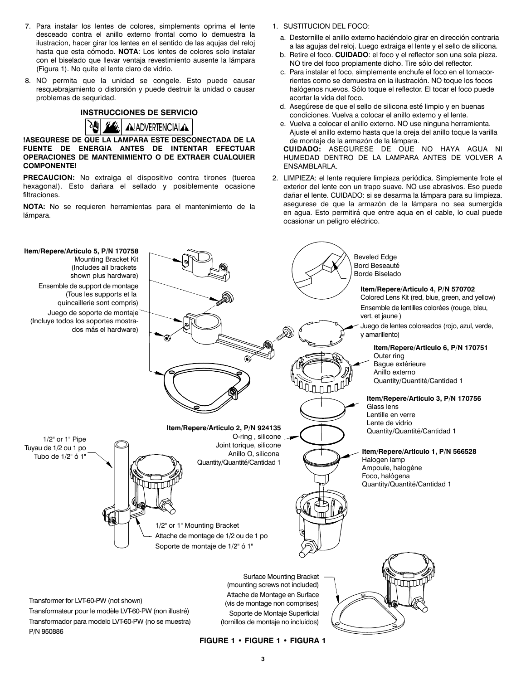- 7. Para instalar los lentes de colores, simplements oprima el lente desceado contra el anillo externo frontal como lo demuestra la ilustracion, hacer girar los lentes en el sentido de las aqujas del reloj hasta que esta cómodo. **NOTA**: Los lentes de colores solo instalar con el biselado que llevar ventaja revestimiento ausente la lámpara (Figura 1). No quite el lente claro de vidrio.
- 8. NO permita que la unidad se congele. Esto puede causar resquebrajamiento o distorsión y puede destruir la unidad o causar problemas de sequridad.





**!ASEGURESE DE QUE LA LAMPARA ESTE DESCONECTADA DE LA FUENTE DE ENERGIA ANTES DE INTENTAR EFECTUAR OPERACIONES DE MANTENIMIENTO O DE EXTRAER CUALQUIER COMPONENTE!**

**PRECAUCION:** No extraiga el dispositivo contra tirones (tuerca hexagonal). Esto dañara el sellado y posiblemente ocasione filtraciones.

**NOTA:** No se requieren herramientas para el mantenimiento de la lámpara.

- 1. SUSTITUCION DEL FOCO:
	- a. Destornílle el anillo externo haciéndolo girar en dirección contraria a las agujas del reloj. Luego extraiga el lente y el sello de silicona.
	- b. Retire el foco. **CUIDADO**: el foco y el reflector son una sola pieza. NO tire del foco propiamente dicho. Tire sólo del reflector.
	- c. Para instalar el foco, simplemente enchufe el foco en el tomacorrientes como se demuestra en ia ilustración. NO toque los focos halógenos nuevos. Sólo toque el reflector. El tocar el foco puede acortar la vida del foco.
	- d. Asegúrese de que el sello de silicona esté limpio y en buenas condiciones. Vuelva a colocar el anillo externo y el lente.
	- e. Vuelva a colocar el anillo externo. NO use ninguna herramienta. Ajuste el anillo externo hasta que la oreja del anillo toque la varilla de montaje de la armazón de la lámpara.

 **CUIDADO:** ASEGURESE DE OUE NO HAYA AGUA Nl HUMEDAD DENTRO DE LA LAMPARA ANTES DE VOLVER A ENSAMBLARLA.

 2. LIMPIEZA: el lente requiere limpieza periódica. Simpiemente frote el exterior del lente con un trapo suave. NO use abrasivos. Eso puede dañar el lente. CUIDADO: si se desarma la lámpara para su limpieza. asegurese de que la armazón de la lámpara no sea sumergida en agua. Esto permitirá que entre aqua en el cable, lo cual puede ocasionar un peligro eléctrico.



**FIGURE 1 • FIGURE 1 • FIGURA 1**